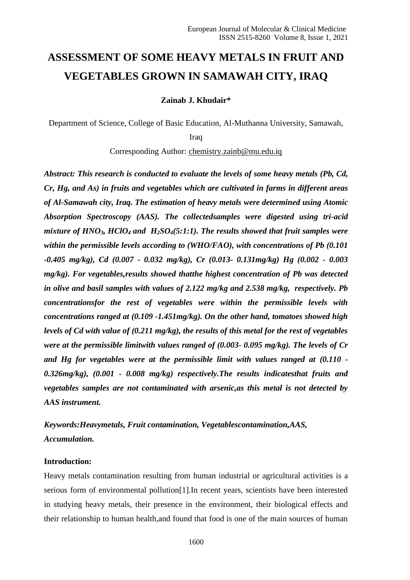# **ASSESSMENT OF SOME HEAVY METALS IN FRUIT AND VEGETABLES GROWN IN SAMAWAH CITY, IRAQ**

**Zainab J. Khudair\***

Department of Science, College of Basic Education, Al-Muthanna University, Samawah,

Iraq

Corresponding Author: [chemistry.zainb@mu.edu.iq](mailto:chemistry.zainb@mu.edu.iq)

*Abstract: This research is conducted to evaluate the levels of some heavy metals (Pb, Cd, Cr, Hg, and As) in fruits and vegetables which are cultivated in farms in different areas of Al-Samawah city, Iraq. The estimation of heavy metals were determined using Atomic Absorption Spectroscopy (AAS). The collectedsamples were digested using tri-acid mixture of HNO3, HClO<sup>4</sup> and H2SO4(5:1:1). The results showed that fruit samples were within the permissible levels according to (WHO/FAO), with concentrations of Pb (0.101 -0.405 mg/kg), Cd (0.007 - 0.032 mg/kg), Cr (0.013- 0.131mg/kg) Hg (0.002 - 0.003 mg/kg). For vegetables,results showed thatthe highest concentration of Pb was detected in olive and basil samples with values of 2.122 mg/kg and 2.538 mg/kg, respectively. Pb concentrationsfor the rest of vegetables were within the permissible levels with concentrations ranged at (0.109 -1.451mg/kg). On the other hand, tomatoes showed high levels of Cd with value of (0.211 mg/kg), the results of this metal for the rest of vegetables were at the permissible limitwith values ranged of (0.003- 0.095 mg/kg). The levels of Cr and Hg for vegetables were at the permissible limit with values ranged at (0.110 - 0.326mg/kg), (0.001 - 0.008 mg/kg) respectively.The results indicatesthat fruits and vegetables samples are not contaminated with arsenic,as this metal is not detected by AAS instrument.* 

*Keywords:Heavymetals, Fruit contamination, Vegetablescontamination,AAS, Accumulation.*

# **Introduction:**

Heavy metals contamination resulting from human industrial or agricultural activities is a serious form of environmental pollution[1].In recent years, scientists have been interested in studying heavy metals, their presence in the environment, their biological effects and their relationship to human health,and found that food is one of the main sources of human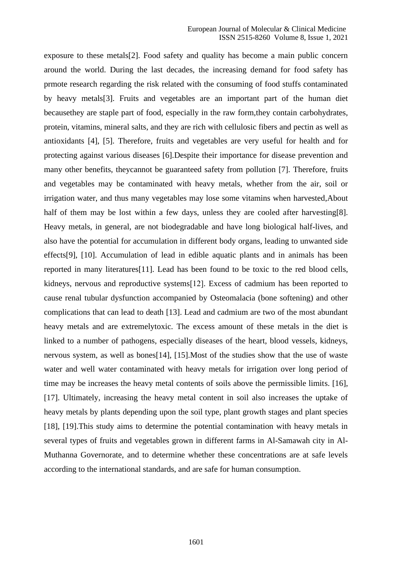exposure to these metals[2]. Food safety and quality has become a main public concern around the world. During the last decades, the increasing demand for food safety has prmote research regarding the risk related with the consuming of food stuffs contaminated by heavy metals[3]. Fruits and vegetables are an important part of the human diet becausethey are staple part of food, especially in the raw form,they contain carbohydrates, protein, vitamins, mineral salts, and they are rich with cellulosic fibers and pectin as well as antioxidants [4], [5]. Therefore, fruits and vegetables are very useful for health and for protecting against various diseases [6].Despite their importance for disease prevention and many other benefits, theycannot be guaranteed safety from pollution [7]. Therefore, fruits and vegetables may be contaminated with heavy metals, whether from the air, soil or irrigation water, and thus many vegetables may lose some vitamins when harvested,About half of them may be lost within a few days, unless they are cooled after harvesting [8]. Heavy metals, in general, are not biodegradable and have long biological half-lives, and also have the potential for accumulation in different body organs, leading to unwanted side effects[9], [10]. Accumulation of lead in edible aquatic plants and in animals has been reported in many literatures[11]. Lead has been found to be toxic to the red blood cells, kidneys, nervous and reproductive systems[12]. Excess of cadmium has been reported to cause renal tubular dysfunction accompanied by Osteomalacia (bone softening) and other complications that can lead to death [13]. Lead and cadmium are two of the most abundant heavy metals and are extremelytoxic. The excess amount of these metals in the diet is linked to a number of pathogens, especially diseases of the heart, blood vessels, kidneys, nervous system, as well as bones[14], [15].Most of the studies show that the use of waste water and well water contaminated with heavy metals for irrigation over long period of time may be increases the heavy metal contents of soils above the permissible limits. [16], [17]. Ultimately, increasing the heavy metal content in soil also increases the uptake of heavy metals by plants depending upon the soil type, plant growth stages and plant species [18], [19]. This study aims to determine the potential contamination with heavy metals in several types of fruits and vegetables grown in different farms in Al-Samawah city in Al-Muthanna Governorate, and to determine whether these concentrations are at safe levels according to the international standards, and are safe for human consumption.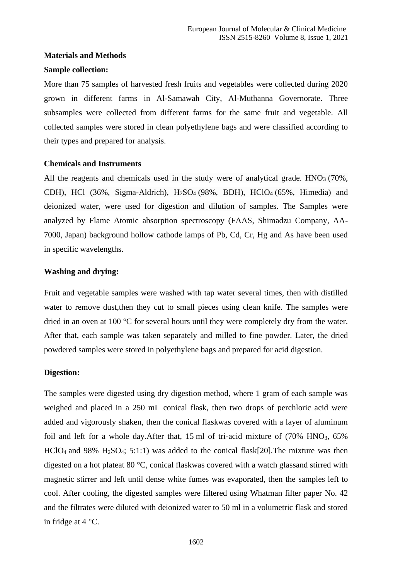## **Materials and Methods**

#### **Sample collection:**

More than 75 samples of harvested fresh fruits and vegetables were collected during 2020 grown in different farms in Al-Samawah City, Al-Muthanna Governorate. Three subsamples were collected from different farms for the same fruit and vegetable. All collected samples were stored in clean polyethylene bags and were classified according to their types and prepared for analysis.

# **Chemicals and Instruments**

All the reagents and chemicals used in the study were of analytical grade.  $HNO<sub>3</sub>$  (70%, CDH), HCl (36%, Sigma-Aldrich),  $H<sub>2</sub>SO<sub>4</sub> (98%, BDH)$ , HClO<sub>4</sub> (65%, Himedia) and deionized water, were used for digestion and dilution of samples. The Samples were analyzed by Flame Atomic absorption spectroscopy (FAAS, Shimadzu Company, AA-7000, Japan) background hollow cathode lamps of Pb, Cd, Cr, Hg and As have been used in specific wavelengths.

# **Washing and drying:**

Fruit and vegetable samples were washed with tap water several times, then with distilled water to remove dust, then they cut to small pieces using clean knife. The samples were dried in an oven at 100 °C for several hours until they were completely dry from the water. After that, each sample was taken separately and milled to fine powder. Later, the dried powdered samples were stored in polyethylene bags and prepared for acid digestion.

#### **Digestion:**

The samples were digested using dry digestion method, where 1 gram of each sample was weighed and placed in a 250 mL conical flask, then two drops of perchloric acid were added and vigorously shaken, then the conical flaskwas covered with a layer of aluminum foil and left for a whole day. After that,  $15 \text{ ml}$  of tri-acid mixture of  $(70\% \text{ HNO}_3, 65\%)$ HClO<sup>4</sup> and 98% H2SO4; 5:1:1) was added to the conical flask[20].The mixture was then digested on a hot plateat 80 °C, conical flaskwas covered with a watch glassand stirred with magnetic stirrer and left until dense white fumes was evaporated, then the samples left to cool. After cooling, the digested samples were filtered using Whatman filter paper No. 42 and the filtrates were diluted with deionized water to 50 ml in a volumetric flask and stored in fridge at 4 °C.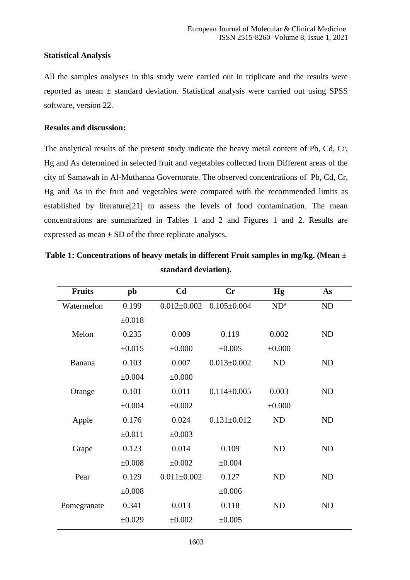# **Statistical Analysis**

All the samples analyses in this study were carried out in triplicate and the results were reported as mean  $\pm$  standard deviation. Statistical analysis were carried out using SPSS software, version 22.

# **Results and discussion:**

The analytical results of the present study indicate the heavy metal content of Pb, Cd, Cr, Hg and As determined in selected fruit and vegetables collected from Different areas of the city of Samawah in Al-Muthanna Governorate. The observed concentrations of Pb, Cd, Cr, Hg and As in the fruit and vegetables were compared with the recommended limits as established by literature[21] to assess the levels of food contamination. The mean concentrations are summarized in Tables 1 and 2 and Figures 1 and 2. Results are expressed as mean  $\pm$  SD of the three replicate analyses.

| <b>Fruits</b> | pb          | C <sub>d</sub>    | Cr                | <b>Hg</b>   | As        |
|---------------|-------------|-------------------|-------------------|-------------|-----------|
| Watermelon    | 0.199       | $0.012 \pm 0.002$ | $0.105 \pm 0.004$ | $ND^a$      | ND        |
|               | ±0.018      |                   |                   |             |           |
| Melon         | 0.235       | 0.009             | 0.119             | 0.002       | ND        |
|               | $\pm 0.015$ | $\pm 0.000$       | ±0.005            | $\pm 0.000$ |           |
| Banana        | 0.103       | 0.007             | $0.013 \pm 0.002$ | <b>ND</b>   | ND        |
|               | ±0.004      | $\pm 0.000$       |                   |             |           |
| Orange        | 0.101       | 0.011             | $0.114 \pm 0.005$ | 0.003       | ND        |
|               | $\pm 0.004$ | $\pm 0.002$       |                   | $\pm 0.000$ |           |
| Apple         | 0.176       | 0.024             | $0.131 \pm 0.012$ | ND          | <b>ND</b> |
|               | ±0.011      | ±0.003            |                   |             |           |
| Grape         | 0.123       | 0.014             | 0.109             | <b>ND</b>   | <b>ND</b> |
|               | ±0.008      | $\pm 0.002$       | $\pm 0.004$       |             |           |
| Pear          | 0.129       | $0.011 \pm 0.002$ | 0.127             | <b>ND</b>   | <b>ND</b> |
|               | $\pm 0.008$ |                   | ±0.006            |             |           |
| Pomegranate   | 0.341       | 0.013             | 0.118             | <b>ND</b>   | <b>ND</b> |
|               | $\pm 0.029$ | $\pm 0.002$       | ±0.005            |             |           |

**Table 1: Concentrations of heavy metals in different Fruit samples in mg/kg. (Mean ± standard deviation).**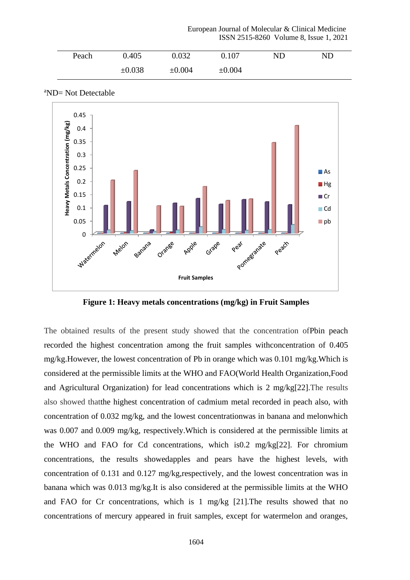European Journal of Molecular & Clinical Medicine ISSN 2515-8260 Volume 8, Issue 1, 2021

| Peach | 0.405  | 0.032  | 0.107       | ND | ND |
|-------|--------|--------|-------------|----|----|
|       | ±0.038 | ±0.004 | $\pm 0.004$ |    |    |





**Figure 1: Heavy metals concentrations (mg/kg) in Fruit Samples**

The obtained results of the present study showed that the concentration ofPbin peach recorded the highest concentration among the fruit samples withconcentration of 0.405 mg/kg.However, the lowest concentration of Pb in orange which was 0.101 mg/kg.Which is considered at the permissible limits at the WHO and FAO(World Health Organization,Food and Agricultural Organization) for lead concentrations which is 2 mg/kg[22].The results also showed thatthe highest concentration of cadmium metal recorded in peach also, with concentration of 0.032 mg/kg, and the lowest concentrationwas in banana and melonwhich was 0.007 and 0.009 mg/kg, respectively.Which is considered at the permissible limits at the WHO and FAO for Cd concentrations, which is0.2 mg/kg[22]. For chromium concentrations, the results showedapples and pears have the highest levels, with concentration of 0.131 and 0.127 mg/kg,respectively, and the lowest concentration was in banana which was 0.013 mg/kg.It is also considered at the permissible limits at the WHO and FAO for Cr concentrations, which is 1 mg/kg [21].The results showed that no concentrations of mercury appeared in fruit samples, except for watermelon and oranges,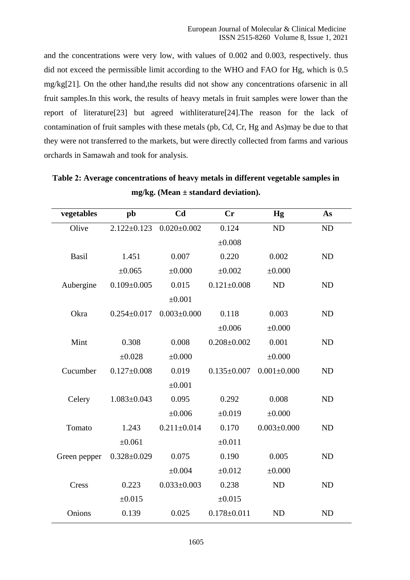and the concentrations were very low, with values of 0.002 and 0.003, respectively. thus did not exceed the permissible limit according to the WHO and FAO for Hg, which is 0.5 mg/kg[21]. On the other hand,the results did not show any concentrations ofarsenic in all fruit samples.In this work, the results of heavy metals in fruit samples were lower than the report of literature[23] but agreed withliterature[24].The reason for the lack of contamination of fruit samples with these metals (pb, Cd, Cr, Hg and As)may be due to that they were not transferred to the markets, but were directly collected from farms and various orchards in Samawah and took for analysis.

| vegetables   | pb                | C <sub>d</sub>    | <b>Cr</b>         | <b>Hg</b>         | As        |
|--------------|-------------------|-------------------|-------------------|-------------------|-----------|
| Olive        | $2.122 \pm 0.123$ | $0.020 \pm 0.002$ | 0.124             | ND                | ND        |
|              |                   |                   | $\pm 0.008$       |                   |           |
| Basil        | 1.451             | 0.007             | 0.220             | 0.002             | <b>ND</b> |
|              | ±0.065            | $\pm 0.000$       | $\pm 0.002$       | $\pm 0.000$       |           |
| Aubergine    | $0.109 \pm 0.005$ | 0.015             | $0.121 \pm 0.008$ | <b>ND</b>         | <b>ND</b> |
|              |                   | $\pm 0.001$       |                   |                   |           |
| Okra         | $0.254 \pm 0.017$ | $0.003 \pm 0.000$ | 0.118             | 0.003             | <b>ND</b> |
|              |                   |                   | ±0.006            | $\pm 0.000$       |           |
| Mint         | 0.308             | 0.008             | $0.208 \pm 0.002$ | 0.001             | <b>ND</b> |
|              | ±0.028            | $\pm 0.000$       |                   | $\pm 0.000$       |           |
| Cucumber     | $0.127 \pm 0.008$ | 0.019             | $0.135 \pm 0.007$ | $0.001 \pm 0.000$ | <b>ND</b> |
|              |                   | $\pm 0.001$       |                   |                   |           |
| Celery       | $1.083 \pm 0.043$ | 0.095             | 0.292             | 0.008             | <b>ND</b> |
|              |                   | $\pm 0.006$       | $\pm 0.019$       | $\pm 0.000$       |           |
| Tomato       | 1.243             | $0.211 \pm 0.014$ | 0.170             | $0.003 \pm 0.000$ | <b>ND</b> |
|              | ±0.061            |                   | ±0.011            |                   |           |
| Green pepper | $0.328 \pm 0.029$ | 0.075             | 0.190             | 0.005             | <b>ND</b> |
|              |                   | ±0.004            | ±0.012            | $\pm 0.000$       |           |
| Cress        | 0.223             | $0.033 \pm 0.003$ | 0.238             | <b>ND</b>         | <b>ND</b> |
|              | ±0.015            |                   | ±0.015            |                   |           |
| Onions       | 0.139             | 0.025             | $0.178 \pm 0.011$ | <b>ND</b>         | <b>ND</b> |

**Table 2: Average concentrations of heavy metals in different vegetable samples in mg/kg. (Mean ± standard deviation).**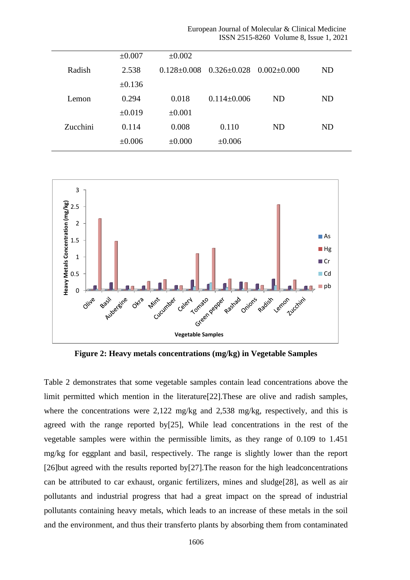| European Journal of Molecular & Clinical Medicine |                                        |
|---------------------------------------------------|----------------------------------------|
|                                                   | ISSN 2515-8260 Volume 8, Issue 1, 2021 |

|          | $\pm 0.007$ | $\pm 0.002$ |                                                       |     |           |
|----------|-------------|-------------|-------------------------------------------------------|-----|-----------|
| Radish   | 2.538       |             | $0.128 \pm 0.008$ $0.326 \pm 0.028$ $0.002 \pm 0.000$ |     | <b>ND</b> |
|          | $\pm 0.136$ |             |                                                       |     |           |
| Lemon    | 0.294       | 0.018       | $0.114 \pm 0.006$                                     | ND. | ND        |
|          | $\pm 0.019$ | $\pm 0.001$ |                                                       |     |           |
| Zucchini | 0.114       | 0.008       | 0.110                                                 | ND  | <b>ND</b> |
|          | $\pm 0.006$ | $\pm 0.000$ | $\pm 0.006$                                           |     |           |
|          |             |             |                                                       |     |           |



**Figure 2: Heavy metals concentrations (mg/kg) in Vegetable Samples**

Table 2 demonstrates that some vegetable samples contain lead concentrations above the limit permitted which mention in the literature[22].These are olive and radish samples, where the concentrations were 2,122 mg/kg and 2,538 mg/kg, respectively, and this is agreed with the range reported by[25], While lead concentrations in the rest of the vegetable samples were within the permissible limits, as they range of 0.109 to 1.451 mg/kg for eggplant and basil, respectively. The range is slightly lower than the report [26]but agreed with the results reported by[27].The reason for the high leadconcentrations can be attributed to car exhaust, organic fertilizers, mines and sludge[28], as well as air pollutants and industrial progress that had a great impact on the spread of industrial pollutants containing heavy metals, which leads to an increase of these metals in the soil and the environment, and thus their transferto plants by absorbing them from contaminated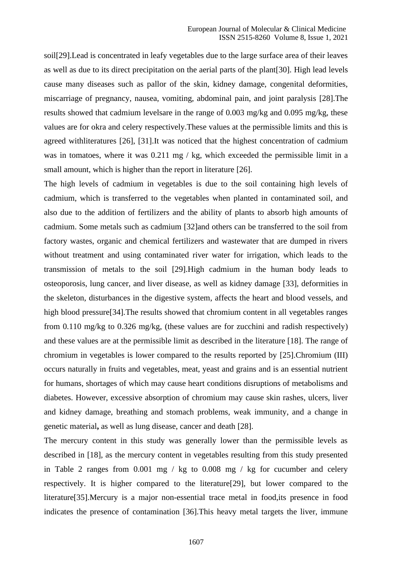soil[29].Lead is concentrated in leafy vegetables due to the large surface area of their leaves as well as due to its direct precipitation on the aerial parts of the plant[30]. High lead levels cause many diseases such as pallor of the skin, kidney damage, congenital deformities, miscarriage of pregnancy, nausea, vomiting, abdominal pain, and joint paralysis [28].The results showed that cadmium levelsare in the range of 0.003 mg/kg and 0.095 mg/kg, these values are for okra and celery respectively.These values at the permissible limits and this is agreed withliteratures [26], [31].It was noticed that the highest concentration of cadmium was in tomatoes, where it was 0.211 mg / kg, which exceeded the permissible limit in a small amount, which is higher than the report in literature [26].

The high levels of cadmium in vegetables is due to the soil containing high levels of cadmium, which is transferred to the vegetables when planted in contaminated soil, and also due to the addition of fertilizers and the ability of plants to absorb high amounts of cadmium. Some metals such as cadmium [32]and others can be transferred to the soil from factory wastes, organic and chemical fertilizers and wastewater that are dumped in rivers without treatment and using contaminated river water for irrigation, which leads to the transmission of metals to the soil [29].High cadmium in the human body leads to osteoporosis, lung cancer, and liver disease, as well as kidney damage [33], deformities in the skeleton, disturbances in the digestive system, affects the heart and blood vessels, and high blood pressure<sup>[34]</sup>. The results showed that chromium content in all vegetables ranges from 0.110 mg/kg to 0.326 mg/kg, (these values are for zucchini and radish respectively) and these values are at the permissible limit as described in the literature [18]. The range of chromium in vegetables is lower compared to the results reported by [25].Chromium (III) occurs naturally in fruits and vegetables, meat, yeast and grains and is an essential nutrient for humans, shortages of which may cause heart conditions disruptions of metabolisms and diabetes. However, excessive absorption of chromium may cause skin rashes, ulcers, liver and kidney damage, breathing and stomach problems, weak immunity, and a change in genetic material**,** as well as lung disease, cancer and death [28].

The mercury content in this study was generally lower than the permissible levels as described in [18], as the mercury content in vegetables resulting from this study presented in Table 2 ranges from 0.001 mg / kg to 0.008 mg / kg for cucumber and celery respectively. It is higher compared to the literature[29], but lower compared to the literature[35].Mercury is a major non-essential trace metal in food,its presence in food indicates the presence of contamination [36].This heavy metal targets the liver, immune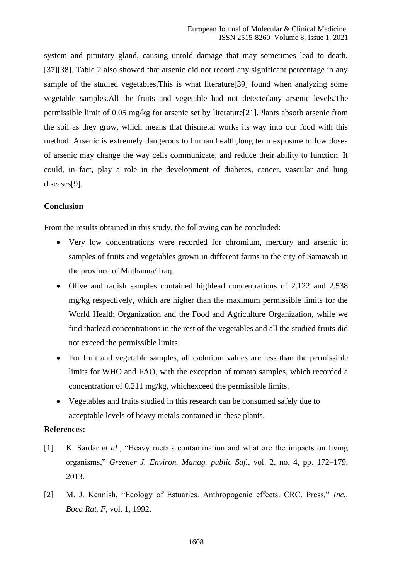system and pituitary gland, causing untold damage that may sometimes lead to death. [37][38]. Table 2 also showed that arsenic did not record any significant percentage in any sample of the studied vegetables,This is what literature[39] found when analyzing some vegetable samples.All the fruits and vegetable had not detectedany arsenic levels.The permissible limit of 0.05 mg/kg for arsenic set by literature[21].Plants absorb arsenic from the soil as they grow, which means that thismetal works its way into our food with this method. Arsenic is extremely dangerous to human health,long term exposure to low doses of arsenic may change the way cells communicate, and reduce their ability to function. It could, in fact, play a role in the development of diabetes, cancer, vascular and lung diseases[9].

# **Conclusion**

From the results obtained in this study, the following can be concluded:

- Very low concentrations were recorded for chromium, mercury and arsenic in samples of fruits and vegetables grown in different farms in the city of Samawah in the province of Muthanna/ Iraq.
- Olive and radish samples contained highlead concentrations of 2.122 and 2.538 mg/kg respectively, which are higher than the maximum permissible limits for the World Health Organization and the Food and Agriculture Organization, while we find thatlead concentrations in the rest of the vegetables and all the studied fruits did not exceed the permissible limits.
- For fruit and vegetable samples, all cadmium values are less than the permissible limits for WHO and FAO, with the exception of tomato samples, which recorded a concentration of 0.211 mg/kg, whichexceed the permissible limits.
- Vegetables and fruits studied in this research can be consumed safely due to acceptable levels of heavy metals contained in these plants.

## **References:**

- [1] K. Sardar *et al.*, "Heavy metals contamination and what are the impacts on living organisms," *Greener J. Environ. Manag. public Saf.*, vol. 2, no. 4, pp. 172–179, 2013.
- [2] M. J. Kennish, "Ecology of Estuaries. Anthropogenic effects. CRC. Press," *Inc., Boca Rat. F*, vol. 1, 1992.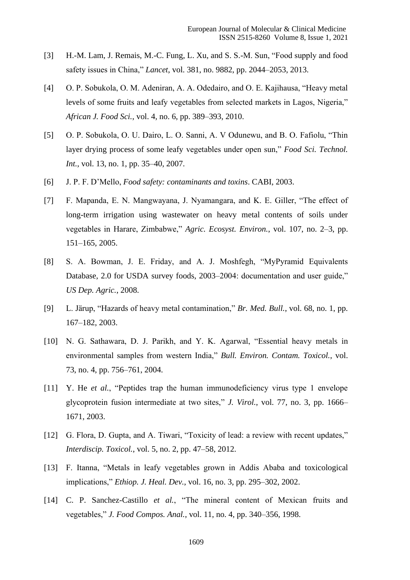- [3] H.-M. Lam, J. Remais, M.-C. Fung, L. Xu, and S. S.-M. Sun, "Food supply and food safety issues in China," *Lancet*, vol. 381, no. 9882, pp. 2044–2053, 2013.
- [4] O. P. Sobukola, O. M. Adeniran, A. A. Odedairo, and O. E. Kajihausa, "Heavy metal levels of some fruits and leafy vegetables from selected markets in Lagos, Nigeria," *African J. Food Sci.*, vol. 4, no. 6, pp. 389–393, 2010.
- [5] O. P. Sobukola, O. U. Dairo, L. O. Sanni, A. V Odunewu, and B. O. Fafiolu, "Thin layer drying process of some leafy vegetables under open sun," *Food Sci. Technol. Int.*, vol. 13, no. 1, pp. 35–40, 2007.
- [6] J. P. F. D'Mello, *Food safety: contaminants and toxins*. CABI, 2003.
- [7] F. Mapanda, E. N. Mangwayana, J. Nyamangara, and K. E. Giller, "The effect of long-term irrigation using wastewater on heavy metal contents of soils under vegetables in Harare, Zimbabwe," *Agric. Ecosyst. Environ.*, vol. 107, no. 2–3, pp. 151–165, 2005.
- [8] S. A. Bowman, J. E. Friday, and A. J. Moshfegh, "MyPyramid Equivalents Database, 2.0 for USDA survey foods, 2003–2004: documentation and user guide," *US Dep. Agric.*, 2008.
- [9] L. Järup, "Hazards of heavy metal contamination," *Br. Med. Bull.*, vol. 68, no. 1, pp. 167–182, 2003.
- [10] N. G. Sathawara, D. J. Parikh, and Y. K. Agarwal, "Essential heavy metals in environmental samples from western India," *Bull. Environ. Contam. Toxicol.*, vol. 73, no. 4, pp. 756–761, 2004.
- [11] Y. He *et al.*, "Peptides trap the human immunodeficiency virus type 1 envelope glycoprotein fusion intermediate at two sites," *J. Virol.*, vol. 77, no. 3, pp. 1666– 1671, 2003.
- [12] G. Flora, D. Gupta, and A. Tiwari, "Toxicity of lead: a review with recent updates," *Interdiscip. Toxicol.*, vol. 5, no. 2, pp. 47–58, 2012.
- [13] F. Itanna, "Metals in leafy vegetables grown in Addis Ababa and toxicological implications," *Ethiop. J. Heal. Dev.*, vol. 16, no. 3, pp. 295–302, 2002.
- [14] C. P. Sanchez-Castillo *et al.*, "The mineral content of Mexican fruits and vegetables," *J. Food Compos. Anal.*, vol. 11, no. 4, pp. 340–356, 1998.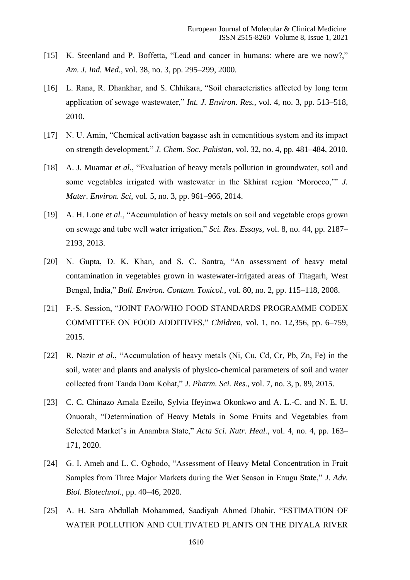- [15] K. Steenland and P. Boffetta, "Lead and cancer in humans: where are we now?," *Am. J. Ind. Med.*, vol. 38, no. 3, pp. 295–299, 2000.
- [16] L. Rana, R. Dhankhar, and S. Chhikara, "Soil characteristics affected by long term application of sewage wastewater," *Int. J. Environ. Res.*, vol. 4, no. 3, pp. 513–518, 2010.
- [17] N. U. Amin, "Chemical activation bagasse ash in cementitious system and its impact on strength development," *J. Chem. Soc. Pakistan*, vol. 32, no. 4, pp. 481–484, 2010.
- [18] A. J. Muamar *et al.*, "Evaluation of heavy metals pollution in groundwater, soil and some vegetables irrigated with wastewater in the Skhirat region 'Morocco,'" *J. Mater. Environ. Sci*, vol. 5, no. 3, pp. 961–966, 2014.
- [19] A. H. Lone *et al.*, "Accumulation of heavy metals on soil and vegetable crops grown on sewage and tube well water irrigation," *Sci. Res. Essays*, vol. 8, no. 44, pp. 2187– 2193, 2013.
- [20] N. Gupta, D. K. Khan, and S. C. Santra, "An assessment of heavy metal contamination in vegetables grown in wastewater-irrigated areas of Titagarh, West Bengal, India," *Bull. Environ. Contam. Toxicol.*, vol. 80, no. 2, pp. 115–118, 2008.
- [21] F.-S. Session, "JOINT FAO/WHO FOOD STANDARDS PROGRAMME CODEX COMMITTEE ON FOOD ADDITIVES," *Children*, vol. 1, no. 12,356, pp. 6–759, 2015.
- [22] R. Nazir *et al.*, "Accumulation of heavy metals (Ni, Cu, Cd, Cr, Pb, Zn, Fe) in the soil, water and plants and analysis of physico-chemical parameters of soil and water collected from Tanda Dam Kohat," *J. Pharm. Sci. Res.*, vol. 7, no. 3, p. 89, 2015.
- [23] C. C. Chinazo Amala Ezeilo, Sylvia Ifeyinwa Okonkwo and A. L.-C. and N. E. U. Onuorah, "Determination of Heavy Metals in Some Fruits and Vegetables from Selected Market's in Anambra State," *Acta Sci. Nutr. Heal.*, vol. 4, no. 4, pp. 163– 171, 2020.
- [24] G. I. Ameh and L. C. Ogbodo, "Assessment of Heavy Metal Concentration in Fruit Samples from Three Major Markets during the Wet Season in Enugu State," *J. Adv. Biol. Biotechnol.*, pp. 40–46, 2020.
- [25] A. H. Sara Abdullah Mohammed, Saadiyah Ahmed Dhahir, "ESTIMATION OF WATER POLLUTION AND CULTIVATED PLANTS ON THE DIYALA RIVER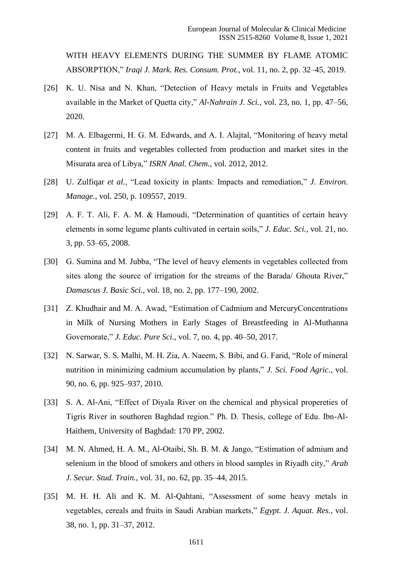WITH HEAVY ELEMENTS DURING THE SUMMER BY FLAME ATOMIC ABSORPTION," *Iraqi J. Mark. Res. Consum. Prot.*, vol. 11, no. 2, pp. 32–45, 2019.

- [26] K. U. Nisa and N. Khan, "Detection of Heavy metals in Fruits and Vegetables available in the Market of Quetta city," *Al-Nahrain J. Sci.*, vol. 23, no. 1, pp. 47–56, 2020.
- [27] M. A. Elbagermi, H. G. M. Edwards, and A. I. Alajtal, "Monitoring of heavy metal content in fruits and vegetables collected from production and market sites in the Misurata area of Libya," *ISRN Anal. Chem.*, vol. 2012, 2012.
- [28] U. Zulfiqar *et al.*, "Lead toxicity in plants: Impacts and remediation," *J. Environ. Manage.*, vol. 250, p. 109557, 2019.
- [29] A. F. T. Ali, F. A. M. & Hamoudi, "Determination of quantities of certain heavy elements in some legume plants cultivated in certain soils," *J. Educ. Sci.*, vol. 21, no. 3, pp. 53–65, 2008.
- [30] G. Sumina and M. Jubba, "The level of heavy elements in vegetables collected from sites along the source of irrigation for the streams of the Barada/ Ghouta River," *Damascus J. Basic Sci.*, vol. 18, no. 2, pp. 177–190, 2002.
- [31] Z. Khudhair and M. A. Awad, "Estimation of Cadmium and MercuryConcentrations in Milk of Nursing Mothers in Early Stages of Breastfeeding in Al-Muthanna Governorate," *J. Educ. Pure Sci.*, vol. 7, no. 4, pp. 40–50, 2017.
- [32] N. Sarwar, S. S. Malhi, M. H. Zia, A. Naeem, S. Bibi, and G. Farid, "Role of mineral nutrition in minimizing cadmium accumulation by plants," *J. Sci. Food Agric.*, vol. 90, no. 6, pp. 925–937, 2010.
- [33] S. A. Al-Ani, "Effect of Diyala River on the chemical and physical propereties of Tigris River in southoren Baghdad region." Ph. D. Thesis, college of Edu. Ibn-Al-Haithem, University of Baghdad: 170 PP, 2002.
- [34] M. N. Ahmed, H. A. M., Al-Otaibi, Sh. B. M. & Jango, "Estimation of admium and selenium in the blood of smokers and others in blood samples in Riyadh city," *Arab J. Secur. Stud. Train.*, vol. 31, no. 62, pp. 35–44, 2015.
- [35] M. H. H. Ali and K. M. Al-Qahtani, "Assessment of some heavy metals in vegetables, cereals and fruits in Saudi Arabian markets," *Egypt. J. Aquat. Res.*, vol. 38, no. 1, pp. 31–37, 2012.